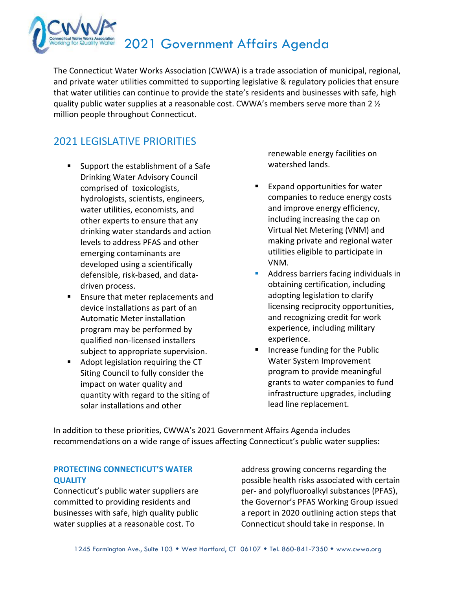

The Connecticut Water Works Association (CWWA) is a trade association of municipal, regional, and private water utilities committed to supporting legislative & regulatory policies that ensure that water utilities can continue to provide the state's residents and businesses with safe, high quality public water supplies at a reasonable cost. CWWA's members serve more than 2  $\frac{1}{2}$ million people throughout Connecticut.

### 2021 LEGISLATIVE PRIORITIES

- Support the establishment of a Safe Drinking Water Advisory Council comprised of toxicologists, hydrologists, scientists, engineers, water utilities, economists, and other experts to ensure that any drinking water standards and action levels to address PFAS and other emerging contaminants are developed using a scientifically defensible, risk-based, and datadriven process.
- **Ensure that meter replacements and** device installations as part of an Automatic Meter installation program may be performed by qualified non-licensed installers subject to appropriate supervision.
- Adopt legislation requiring the CT Siting Council to fully consider the impact on water quality and quantity with regard to the siting of solar installations and other

renewable energy facilities on watershed lands.

- Expand opportunities for water companies to reduce energy costs and improve energy efficiency, including increasing the cap on Virtual Net Metering (VNM) and making private and regional water utilities eligible to participate in VNM.
- Address barriers facing individuals in obtaining certification, including adopting legislation to clarify licensing reciprocity opportunities, and recognizing credit for work experience, including military experience.
- Increase funding for the Public Water System Improvement program to provide meaningful grants to water companies to fund infrastructure upgrades, including lead line replacement.

In addition to these priorities, CWWA's 2021 Government Affairs Agenda includes recommendations on a wide range of issues affecting Connecticut's public water supplies:

### **PROTECTING CONNECTICUT'S WATER QUALITY**

Connecticut's public water suppliers are committed to providing residents and businesses with safe, high quality public water supplies at a reasonable cost. To

address growing concerns regarding the possible health risks associated with certain per- and polyfluoroalkyl substances (PFAS), the Governor's PFAS Working Group issued a report in 2020 outlining action steps that Connecticut should take in response. In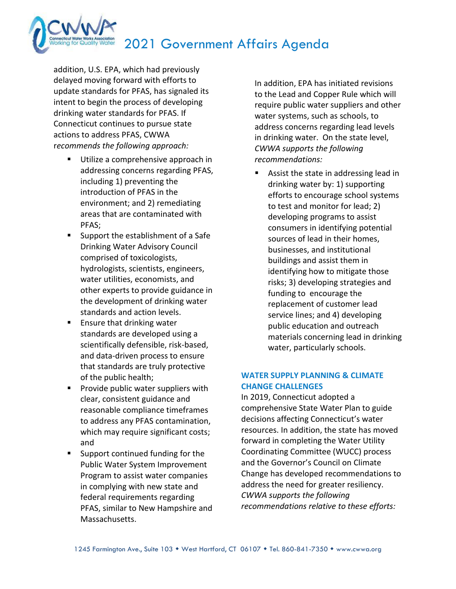addition, U.S. EPA, which had previously delayed moving forward with efforts to update standards for PFAS, has signaled its intent to begin the process of developing drinking water standards for PFAS. If Connecticut continues to pursue state actions to address PFAS, CWWA r*ecommends the following approach:*

- **Utilize a comprehensive approach in** addressing concerns regarding PFAS, including 1) preventing the introduction of PFAS in the environment; and 2) remediating areas that are contaminated with PFAS;
- Support the establishment of a Safe Drinking Water Advisory Council comprised of toxicologists, hydrologists, scientists, engineers, water utilities, economists, and other experts to provide guidance in the development of drinking water standards and action levels.
- **Ensure that drinking water** standards are developed using a scientifically defensible, risk-based, and data-driven process to ensure that standards are truly protective of the public health;
- **Provide public water suppliers with** clear, consistent guidance and reasonable compliance timeframes to address any PFAS contamination, which may require significant costs; and
- Support continued funding for the Public Water System Improvement Program to assist water companies in complying with new state and federal requirements regarding PFAS, similar to New Hampshire and Massachusetts.

In addition, EPA has initiated revisions to the Lead and Copper Rule which will require public water suppliers and other water systems, such as schools, to address concerns regarding lead levels in drinking water. On the state level, *CWWA supports the following recommendations:*

 Assist the state in addressing lead in drinking water by: 1) supporting efforts to encourage school systems to test and monitor for lead; 2) developing programs to assist consumers in identifying potential sources of lead in their homes, businesses, and institutional buildings and assist them in identifying how to mitigate those risks; 3) developing strategies and funding to encourage the replacement of customer lead service lines; and 4) developing public education and outreach materials concerning lead in drinking water, particularly schools.

### **WATER SUPPLY PLANNING & CLIMATE CHANGE CHALLENGES**

In 2019, Connecticut adopted a comprehensive State Water Plan to guide decisions affecting Connecticut's water resources. In addition, the state has moved forward in completing the Water Utility Coordinating Committee (WUCC) process and the Governor's Council on Climate Change has developed recommendations to address the need for greater resiliency. *CWWA supports the following recommendations relative to these efforts:*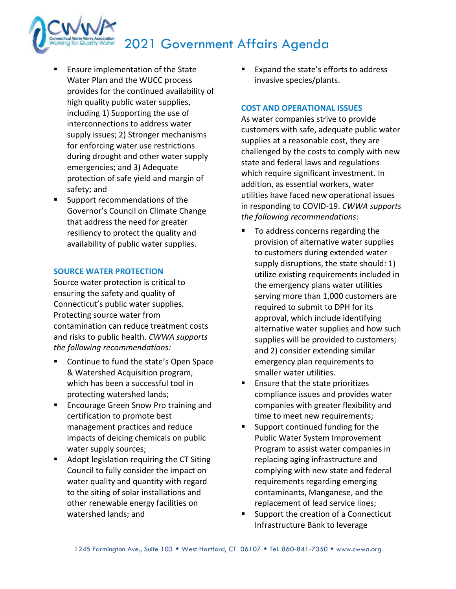- Ensure implementation of the State Water Plan and the WUCC process provides for the continued availability of high quality public water supplies, including 1) Supporting the use of interconnections to address water supply issues; 2) Stronger mechanisms for enforcing water use restrictions during drought and other water supply emergencies; and 3) Adequate protection of safe yield and margin of safety; and
- **Support recommendations of the** Governor's Council on Climate Change that address the need for greater resiliency to protect the quality and availability of public water supplies.

#### **SOURCE WATER PROTECTION**

Source water protection is critical to ensuring the safety and quality of Connecticut's public water supplies. Protecting source water from contamination can reduce treatment costs and risks to public health. *CWWA supports the following recommendations:*

- Continue to fund the state's Open Space & Watershed Acquisition program, which has been a successful tool in protecting watershed lands;
- **Encourage Green Snow Pro training and** certification to promote best management practices and reduce impacts of deicing chemicals on public water supply sources;
- **Adopt legislation requiring the CT Siting** Council to fully consider the impact on water quality and quantity with regard to the siting of solar installations and other renewable energy facilities on watershed lands; and

 Expand the state's efforts to address invasive species/plants.

#### **COST AND OPERATIONAL ISSUES**

As water companies strive to provide customers with safe, adequate public water supplies at a reasonable cost, they are challenged by the costs to comply with new state and federal laws and regulations which require significant investment. In addition, as essential workers, water utilities have faced new operational issues in responding to COVID-19. *CWWA supports the following recommendations:*

- To address concerns regarding the provision of alternative water supplies to customers during extended water supply disruptions, the state should: 1) utilize existing requirements included in the emergency plans water utilities serving more than 1,000 customers are required to submit to DPH for its approval, which include identifying alternative water supplies and how such supplies will be provided to customers; and 2) consider extending similar emergency plan requirements to smaller water utilities.
- **E** Ensure that the state prioritizes compliance issues and provides water companies with greater flexibility and time to meet new requirements;
- Support continued funding for the Public Water System Improvement Program to assist water companies in replacing aging infrastructure and complying with new state and federal requirements regarding emerging contaminants, Manganese, and the replacement of lead service lines;
- Support the creation of a Connecticut Infrastructure Bank to leverage

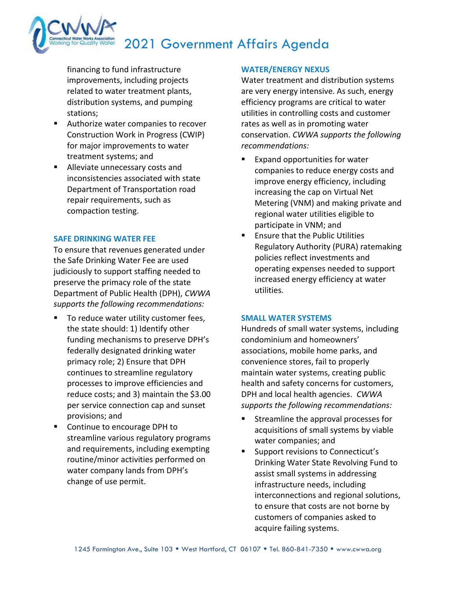financing to fund infrastructure improvements, including projects related to water treatment plants, distribution systems, and pumping stations;

- Authorize water companies to recover Construction Work in Progress (CWIP) for major improvements to water treatment systems; and
- **Alleviate unnecessary costs and** inconsistencies associated with state Department of Transportation road repair requirements, such as compaction testing.

#### **SAFE DRINKING WATER FEE**

To ensure that revenues generated under the Safe Drinking Water Fee are used judiciously to support staffing needed to preserve the primacy role of the state Department of Public Health (DPH), *CWWA supports the following recommendations:*

- To reduce water utility customer fees, the state should: 1) Identify other funding mechanisms to preserve DPH's federally designated drinking water primacy role; 2) Ensure that DPH continues to streamline regulatory processes to improve efficiencies and reduce costs; and 3) maintain the \$3.00 per service connection cap and sunset provisions; and
- Continue to encourage DPH to streamline various regulatory programs and requirements, including exempting routine/minor activities performed on water company lands from DPH's change of use permit.

### **WATER/ENERGY NEXUS**

Water treatment and distribution systems are very energy intensive. As such, energy efficiency programs are critical to water utilities in controlling costs and customer rates as well as in promoting water conservation. *CWWA supports the following recommendations:*

- Expand opportunities for water companies to reduce energy costs and improve energy efficiency, including increasing the cap on Virtual Net Metering (VNM) and making private and regional water utilities eligible to participate in VNM; and
- **E** Ensure that the Public Utilities Regulatory Authority (PURA) ratemaking policies reflect investments and operating expenses needed to support increased energy efficiency at water utilities.

#### **SMALL WATER SYSTEMS**

Hundreds of small water systems, including condominium and homeowners' associations, mobile home parks, and convenience stores, fail to properly maintain water systems, creating public health and safety concerns for customers, DPH and local health agencies. *CWWA supports the following recommendations:*

- Streamline the approval processes for acquisitions of small systems by viable water companies; and
- **Support revisions to Connecticut's** Drinking Water State Revolving Fund to assist small systems in addressing infrastructure needs, including interconnections and regional solutions, to ensure that costs are not borne by customers of companies asked to acquire failing systems.